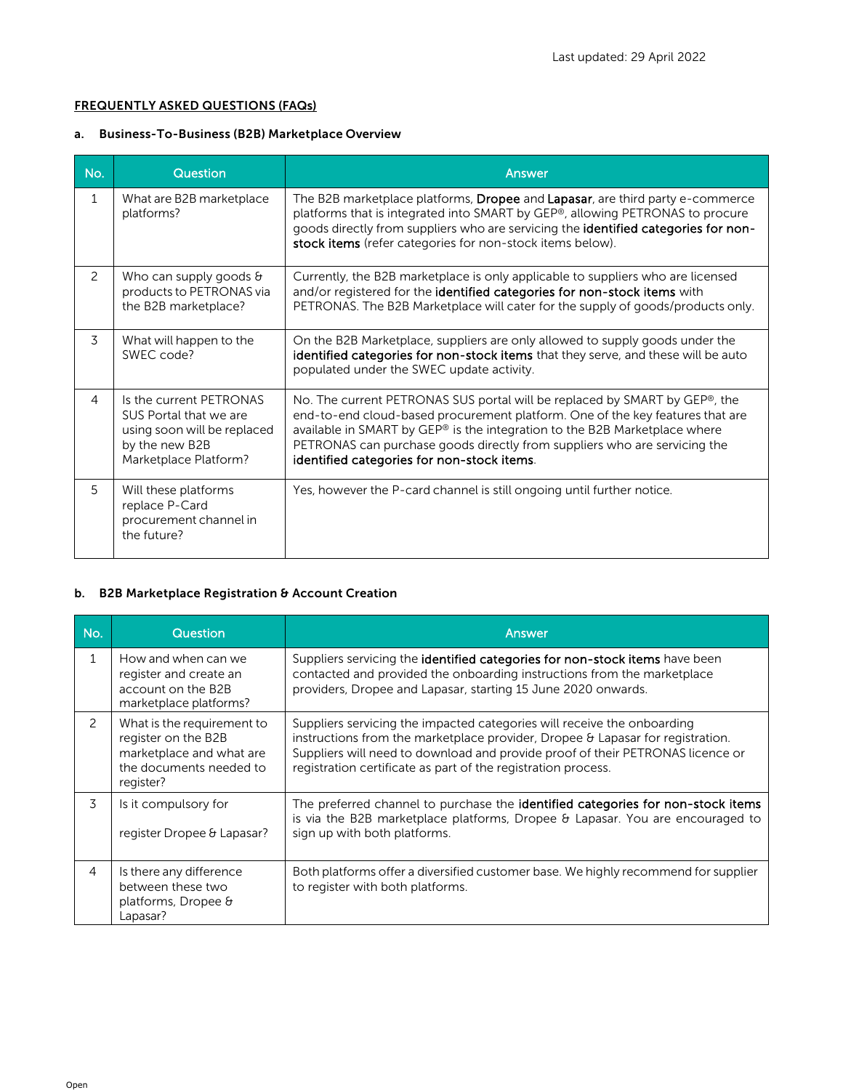### FREQUENTLY ASKED QUESTIONS (FAQs)

# a. Business-To-Business (B2B) Marketplace Overview

| No.            | <b>Question</b>                                                                                                             | Answer                                                                                                                                                                                                                                                                                                                                                               |
|----------------|-----------------------------------------------------------------------------------------------------------------------------|----------------------------------------------------------------------------------------------------------------------------------------------------------------------------------------------------------------------------------------------------------------------------------------------------------------------------------------------------------------------|
| $\mathbf{1}$   | What are B2B marketplace<br>platforms?                                                                                      | The B2B marketplace platforms, Dropee and Lapasar, are third party e-commerce<br>platforms that is integrated into SMART by GEP®, allowing PETRONAS to procure<br>goods directly from suppliers who are servicing the identified categories for non-<br>stock items (refer categories for non-stock items below).                                                    |
| $\mathcal{P}$  | Who can supply goods $\theta$<br>products to PETRONAS via<br>the B2B marketplace?                                           | Currently, the B2B marketplace is only applicable to suppliers who are licensed<br>and/or registered for the identified categories for non-stock items with<br>PETRONAS. The B2B Marketplace will cater for the supply of goods/products only.                                                                                                                       |
| 3              | What will happen to the<br>SWEC code?                                                                                       | On the B2B Marketplace, suppliers are only allowed to supply goods under the<br>identified categories for non-stock items that they serve, and these will be auto<br>populated under the SWEC update activity.                                                                                                                                                       |
| $\overline{4}$ | Is the current PETRONAS<br>SUS Portal that we are<br>using soon will be replaced<br>by the new B2B<br>Marketplace Platform? | No. The current PETRONAS SUS portal will be replaced by SMART by GEP®, the<br>end-to-end cloud-based procurement platform. One of the key features that are<br>available in SMART by GEP® is the integration to the B2B Marketplace where<br>PETRONAS can purchase goods directly from suppliers who are servicing the<br>identified categories for non-stock items. |
| 5              | Will these platforms<br>replace P-Card<br>procurement channel in<br>the future?                                             | Yes, however the P-card channel is still ongoing until further notice.                                                                                                                                                                                                                                                                                               |

### b. B2B Marketplace Registration & Account Creation

| No.            | <b>Question</b>                                                                                                       | Answer                                                                                                                                                                                                                                                                                                       |
|----------------|-----------------------------------------------------------------------------------------------------------------------|--------------------------------------------------------------------------------------------------------------------------------------------------------------------------------------------------------------------------------------------------------------------------------------------------------------|
| 1              | How and when can we<br>register and create an<br>account on the B2B<br>marketplace platforms?                         | Suppliers servicing the identified categories for non-stock items have been<br>contacted and provided the onboarding instructions from the marketplace<br>providers, Dropee and Lapasar, starting 15 June 2020 onwards.                                                                                      |
| 2              | What is the requirement to<br>register on the B2B<br>marketplace and what are<br>the documents needed to<br>register? | Suppliers servicing the impacted categories will receive the onboarding<br>instructions from the marketplace provider, Dropee & Lapasar for registration.<br>Suppliers will need to download and provide proof of their PETRONAS licence or<br>registration certificate as part of the registration process. |
| 3              | Is it compulsory for<br>register Dropee & Lapasar?                                                                    | The preferred channel to purchase the <b>identified categories for non-stock items</b><br>is via the B2B marketplace platforms, Dropee $\theta$ Lapasar. You are encouraged to<br>sign up with both platforms.                                                                                               |
| $\overline{4}$ | Is there any difference<br>between these two<br>platforms, Dropee &<br>Lapasar?                                       | Both platforms offer a diversified customer base. We highly recommend for supplier<br>to register with both platforms.                                                                                                                                                                                       |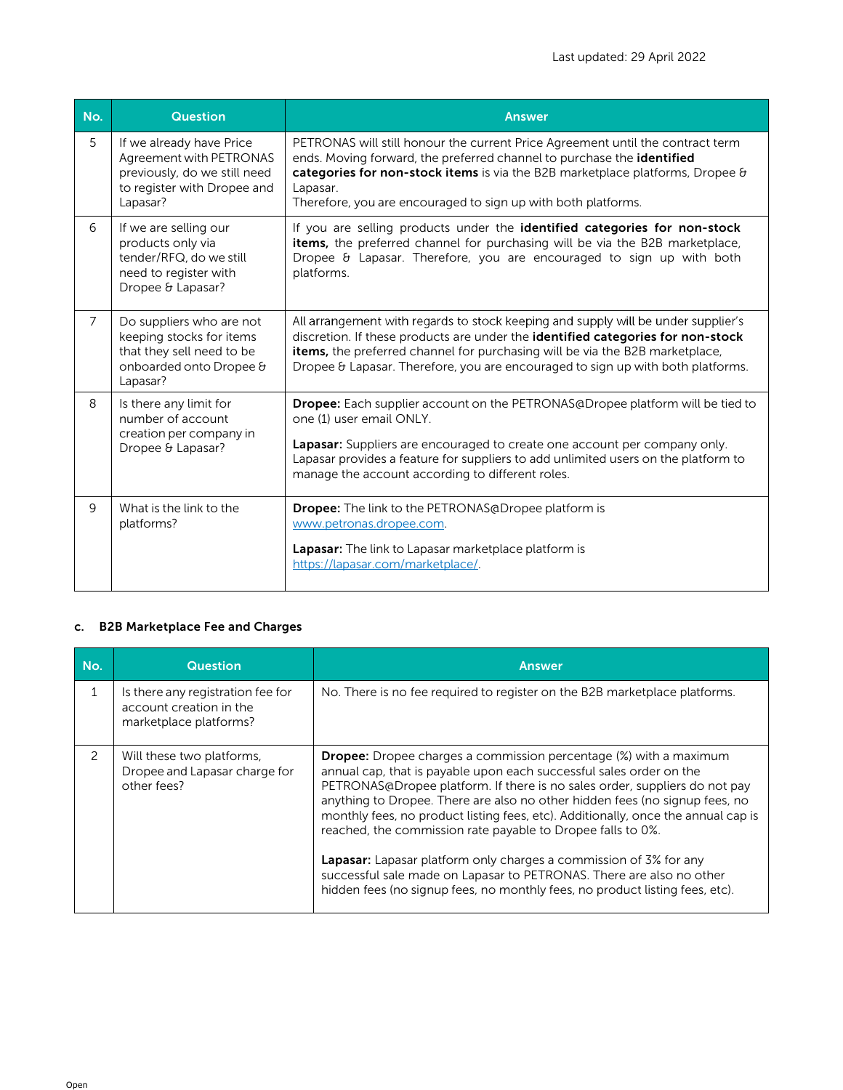| No.            | <b>Question</b>                                                                                                                | <b>Answer</b>                                                                                                                                                                                                                                                                                                                           |
|----------------|--------------------------------------------------------------------------------------------------------------------------------|-----------------------------------------------------------------------------------------------------------------------------------------------------------------------------------------------------------------------------------------------------------------------------------------------------------------------------------------|
| 5              | If we already have Price<br>Agreement with PETRONAS<br>previously, do we still need<br>to register with Dropee and<br>Lapasar? | PETRONAS will still honour the current Price Agreement until the contract term<br>ends. Moving forward, the preferred channel to purchase the identified<br>categories for non-stock items is via the B2B marketplace platforms, Dropee &<br>Lapasar.<br>Therefore, you are encouraged to sign up with both platforms.                  |
| 6              | If we are selling our<br>products only via<br>tender/RFQ, do we still<br>need to register with<br>Dropee & Lapasar?            | If you are selling products under the identified categories for non-stock<br>items, the preferred channel for purchasing will be via the B2B marketplace,<br>Dropee & Lapasar. Therefore, you are encouraged to sign up with both<br>platforms.                                                                                         |
| $\overline{7}$ | Do suppliers who are not<br>keeping stocks for items<br>that they sell need to be<br>onboarded onto Dropee &<br>Lapasar?       | All arrangement with regards to stock keeping and supply will be under supplier's<br>discretion. If these products are under the identified categories for non-stock<br>items, the preferred channel for purchasing will be via the B2B marketplace,<br>Dropee & Lapasar. Therefore, you are encouraged to sign up with both platforms. |
| 8              | Is there any limit for<br>number of account<br>creation per company in<br>Dropee & Lapasar?                                    | <b>Dropee:</b> Each supplier account on the PETRONAS@Dropee platform will be tied to<br>one (1) user email ONLY.<br>Lapasar: Suppliers are encouraged to create one account per company only.<br>Lapasar provides a feature for suppliers to add unlimited users on the platform to<br>manage the account according to different roles. |
| 9              | What is the link to the<br>platforms?                                                                                          | <b>Dropee:</b> The link to the PETRONAS@Dropee platform is<br>www.petronas.dropee.com.<br>Lapasar: The link to Lapasar marketplace platform is<br>https://lapasar.com/marketplace/.                                                                                                                                                     |

# c. B2B Marketplace Fee and Charges

| No.           | <b>Question</b>                                                                        | <b>Answer</b>                                                                                                                                                                                                                                                                                                                                                                                                                                                                                                                                                                                                                                                                                        |
|---------------|----------------------------------------------------------------------------------------|------------------------------------------------------------------------------------------------------------------------------------------------------------------------------------------------------------------------------------------------------------------------------------------------------------------------------------------------------------------------------------------------------------------------------------------------------------------------------------------------------------------------------------------------------------------------------------------------------------------------------------------------------------------------------------------------------|
| 1             | Is there any registration fee for<br>account creation in the<br>marketplace platforms? | No. There is no fee required to register on the B2B marketplace platforms.                                                                                                                                                                                                                                                                                                                                                                                                                                                                                                                                                                                                                           |
| $\mathcal{P}$ | Will these two platforms,<br>Dropee and Lapasar charge for<br>other fees?              | <b>Dropee:</b> Dropee charges a commission percentage (%) with a maximum<br>annual cap, that is payable upon each successful sales order on the<br>PETRONAS@Dropee platform. If there is no sales order, suppliers do not pay<br>anything to Dropee. There are also no other hidden fees (no signup fees, no<br>monthly fees, no product listing fees, etc). Additionally, once the annual cap is<br>reached, the commission rate payable to Dropee falls to 0%.<br><b>Lapasar:</b> Lapasar platform only charges a commission of 3% for any<br>successful sale made on Lapasar to PETRONAS. There are also no other<br>hidden fees (no signup fees, no monthly fees, no product listing fees, etc). |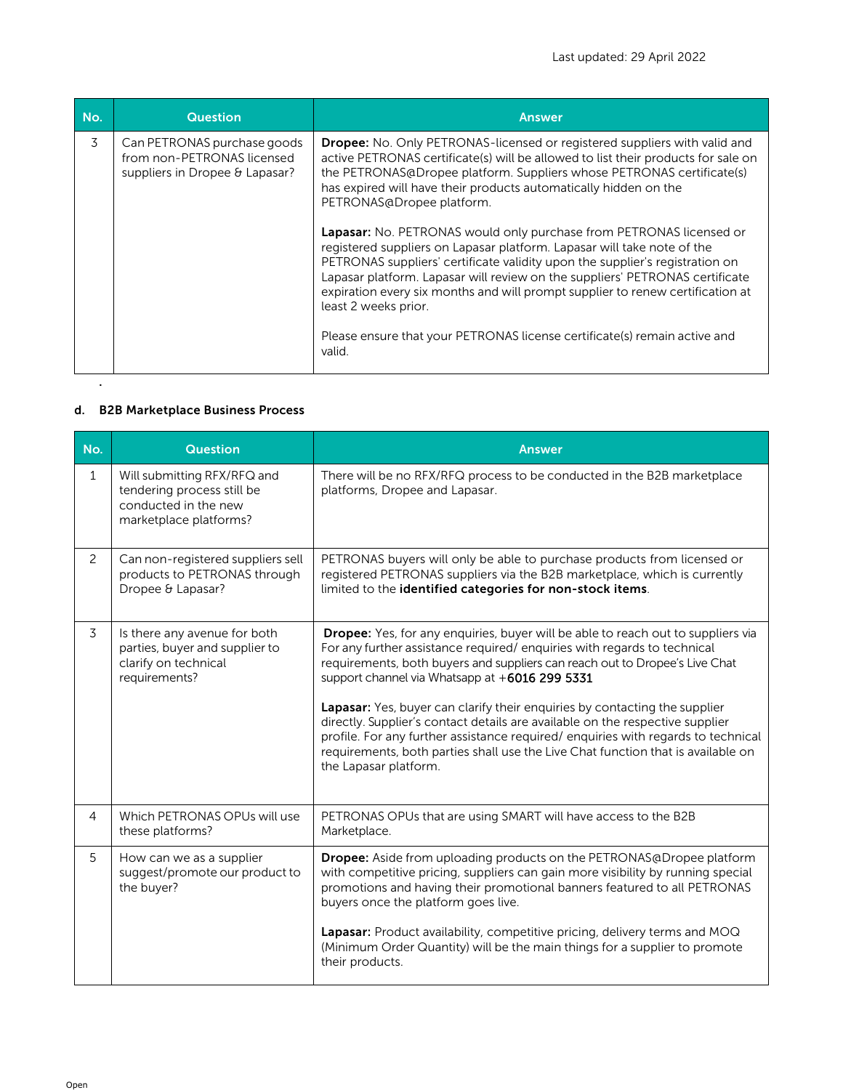| No. | <b>Question</b>                                                                             | <b>Answer</b>                                                                                                                                                                                                                                                                                                                                                                                                                                                                                                                                                                                                                                                                                                                                                                                                                                                      |
|-----|---------------------------------------------------------------------------------------------|--------------------------------------------------------------------------------------------------------------------------------------------------------------------------------------------------------------------------------------------------------------------------------------------------------------------------------------------------------------------------------------------------------------------------------------------------------------------------------------------------------------------------------------------------------------------------------------------------------------------------------------------------------------------------------------------------------------------------------------------------------------------------------------------------------------------------------------------------------------------|
| 3   | Can PETRONAS purchase goods<br>from non-PETRONAS licensed<br>suppliers in Dropee & Lapasar? | <b>Dropee:</b> No. Only PETRONAS-licensed or registered suppliers with valid and<br>active PETRONAS certificate(s) will be allowed to list their products for sale on<br>the PETRONAS@Dropee platform. Suppliers whose PETRONAS certificate(s)<br>has expired will have their products automatically hidden on the<br>PETRONAS@Dropee platform.<br>Lapasar: No. PETRONAS would only purchase from PETRONAS licensed or<br>registered suppliers on Lapasar platform. Lapasar will take note of the<br>PETRONAS suppliers' certificate validity upon the supplier's registration on<br>Lapasar platform. Lapasar will review on the suppliers' PETRONAS certificate<br>expiration every six months and will prompt supplier to renew certification at<br>least 2 weeks prior.<br>Please ensure that your PETRONAS license certificate(s) remain active and<br>valid. |
|     |                                                                                             |                                                                                                                                                                                                                                                                                                                                                                                                                                                                                                                                                                                                                                                                                                                                                                                                                                                                    |

## d. B2B Marketplace Business Process

| No.            | <b>Question</b>                                                                                             | <b>Answer</b>                                                                                                                                                                                                                                                                                                                                                                                                                                                                                                                                                                                                                                                               |
|----------------|-------------------------------------------------------------------------------------------------------------|-----------------------------------------------------------------------------------------------------------------------------------------------------------------------------------------------------------------------------------------------------------------------------------------------------------------------------------------------------------------------------------------------------------------------------------------------------------------------------------------------------------------------------------------------------------------------------------------------------------------------------------------------------------------------------|
| $\mathbf{1}$   | Will submitting RFX/RFQ and<br>tendering process still be<br>conducted in the new<br>marketplace platforms? | There will be no RFX/RFQ process to be conducted in the B2B marketplace<br>platforms, Dropee and Lapasar.                                                                                                                                                                                                                                                                                                                                                                                                                                                                                                                                                                   |
| $\overline{c}$ | Can non-registered suppliers sell<br>products to PETRONAS through<br>Dropee & Lapasar?                      | PETRONAS buyers will only be able to purchase products from licensed or<br>registered PETRONAS suppliers via the B2B marketplace, which is currently<br>limited to the identified categories for non-stock items.                                                                                                                                                                                                                                                                                                                                                                                                                                                           |
| 3              | Is there any avenue for both<br>parties, buyer and supplier to<br>clarify on technical<br>requirements?     | <b>Dropee:</b> Yes, for any enquiries, buyer will be able to reach out to suppliers via<br>For any further assistance required/enquiries with regards to technical<br>requirements, both buyers and suppliers can reach out to Dropee's Live Chat<br>support channel via Whatsapp at +6016 299 5331<br><b>Lapasar:</b> Yes, buyer can clarify their enquiries by contacting the supplier<br>directly. Supplier's contact details are available on the respective supplier<br>profile. For any further assistance required/ enquiries with regards to technical<br>requirements, both parties shall use the Live Chat function that is available on<br>the Lapasar platform. |
| $\overline{4}$ | Which PETRONAS OPUs will use<br>these platforms?                                                            | PETRONAS OPUs that are using SMART will have access to the B2B<br>Marketplace.                                                                                                                                                                                                                                                                                                                                                                                                                                                                                                                                                                                              |
| 5              | How can we as a supplier<br>suggest/promote our product to<br>the buyer?                                    | Dropee: Aside from uploading products on the PETRONAS@Dropee platform<br>with competitive pricing, suppliers can gain more visibility by running special<br>promotions and having their promotional banners featured to all PETRONAS<br>buyers once the platform goes live.<br>Lapasar: Product availability, competitive pricing, delivery terms and MOQ<br>(Minimum Order Quantity) will be the main things for a supplier to promote<br>their products.                                                                                                                                                                                                                  |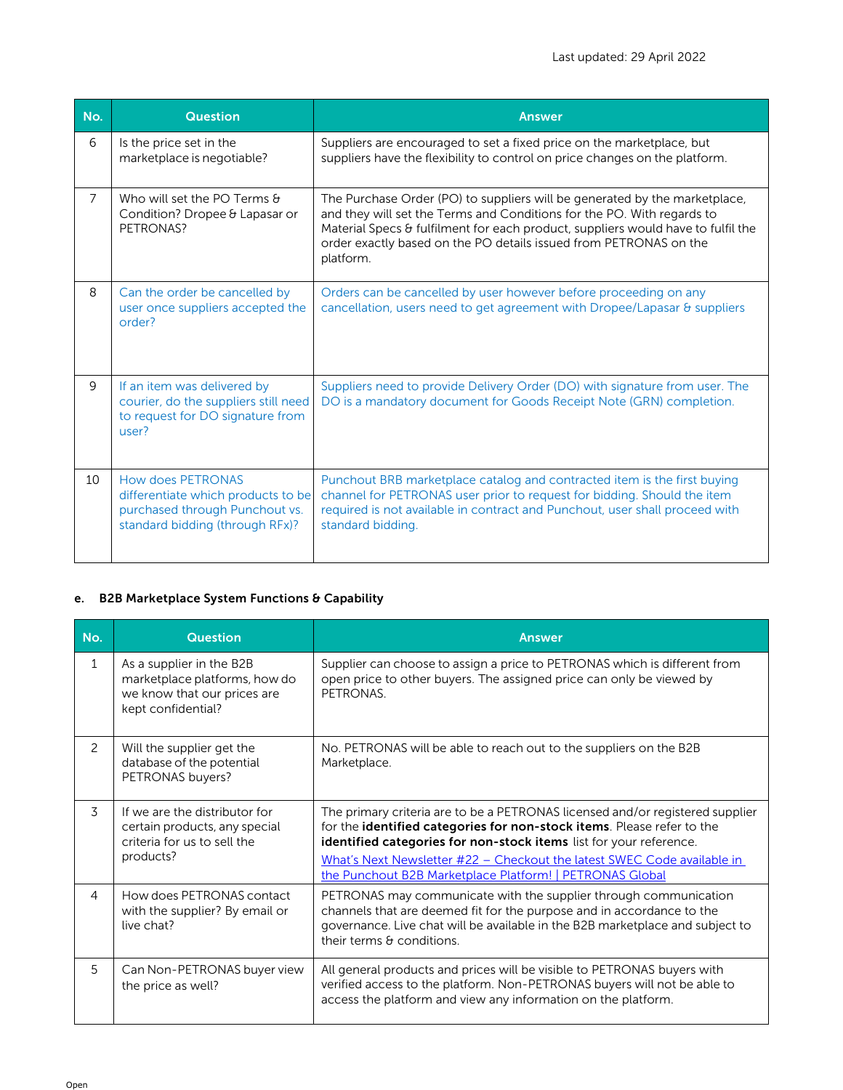| No. | <b>Question</b>                                                                                                                     | <b>Answer</b>                                                                                                                                                                                                                                                                                                              |
|-----|-------------------------------------------------------------------------------------------------------------------------------------|----------------------------------------------------------------------------------------------------------------------------------------------------------------------------------------------------------------------------------------------------------------------------------------------------------------------------|
| 6   | Is the price set in the<br>marketplace is negotiable?                                                                               | Suppliers are encouraged to set a fixed price on the marketplace, but<br>suppliers have the flexibility to control on price changes on the platform.                                                                                                                                                                       |
| 7   | Who will set the PO Terms &<br>Condition? Dropee & Lapasar or<br>PETRONAS?                                                          | The Purchase Order (PO) to suppliers will be generated by the marketplace,<br>and they will set the Terms and Conditions for the PO. With regards to<br>Material Specs & fulfilment for each product, suppliers would have to fulfil the<br>order exactly based on the PO details issued from PETRONAS on the<br>platform. |
| 8   | Can the order be cancelled by<br>user once suppliers accepted the<br>order?                                                         | Orders can be cancelled by user however before proceeding on any<br>cancellation, users need to get agreement with Dropee/Lapasar & suppliers                                                                                                                                                                              |
| 9   | If an item was delivered by<br>courier, do the suppliers still need<br>to request for DO signature from<br>user?                    | Suppliers need to provide Delivery Order (DO) with signature from user. The<br>DO is a mandatory document for Goods Receipt Note (GRN) completion.                                                                                                                                                                         |
| 10  | <b>How does PETRONAS</b><br>differentiate which products to be<br>purchased through Punchout vs.<br>standard bidding (through RFx)? | Punchout BRB marketplace catalog and contracted item is the first buying<br>channel for PETRONAS user prior to request for bidding. Should the item<br>required is not available in contract and Punchout, user shall proceed with<br>standard bidding.                                                                    |

# e. B2B Marketplace System Functions & Capability

| No.           | <b>Question</b>                                                                                                | <b>Answer</b>                                                                                                                                                                                                                                                                                            |
|---------------|----------------------------------------------------------------------------------------------------------------|----------------------------------------------------------------------------------------------------------------------------------------------------------------------------------------------------------------------------------------------------------------------------------------------------------|
| $\mathbf{1}$  | As a supplier in the B2B<br>marketplace platforms, how do<br>we know that our prices are<br>kept confidential? | Supplier can choose to assign a price to PETRONAS which is different from<br>open price to other buyers. The assigned price can only be viewed by<br>PETRONAS.                                                                                                                                           |
| $\mathcal{P}$ | Will the supplier get the<br>database of the potential<br>PETRONAS buyers?                                     | No. PETRONAS will be able to reach out to the suppliers on the B2B<br>Marketplace.                                                                                                                                                                                                                       |
| 3             | If we are the distributor for<br>certain products, any special<br>criteria for us to sell the<br>products?     | The primary criteria are to be a PETRONAS licensed and/or registered supplier<br>for the identified categories for non-stock items. Please refer to the<br>identified categories for non-stock items list for your reference.<br>What's Next Newsletter #22 - Checkout the latest SWEC Code available in |
|               |                                                                                                                | the Punchout B2B Marketplace Platform!   PETRONAS Global                                                                                                                                                                                                                                                 |
| 4             | How does PETRONAS contact<br>with the supplier? By email or<br>live chat?                                      | PETRONAS may communicate with the supplier through communication<br>channels that are deemed fit for the purpose and in accordance to the<br>governance. Live chat will be available in the B2B marketplace and subject to<br>their terms & conditions.                                                  |
| 5             | Can Non-PETRONAS buyer view<br>the price as well?                                                              | All general products and prices will be visible to PETRONAS buyers with<br>verified access to the platform. Non-PETRONAS buyers will not be able to<br>access the platform and view any information on the platform.                                                                                     |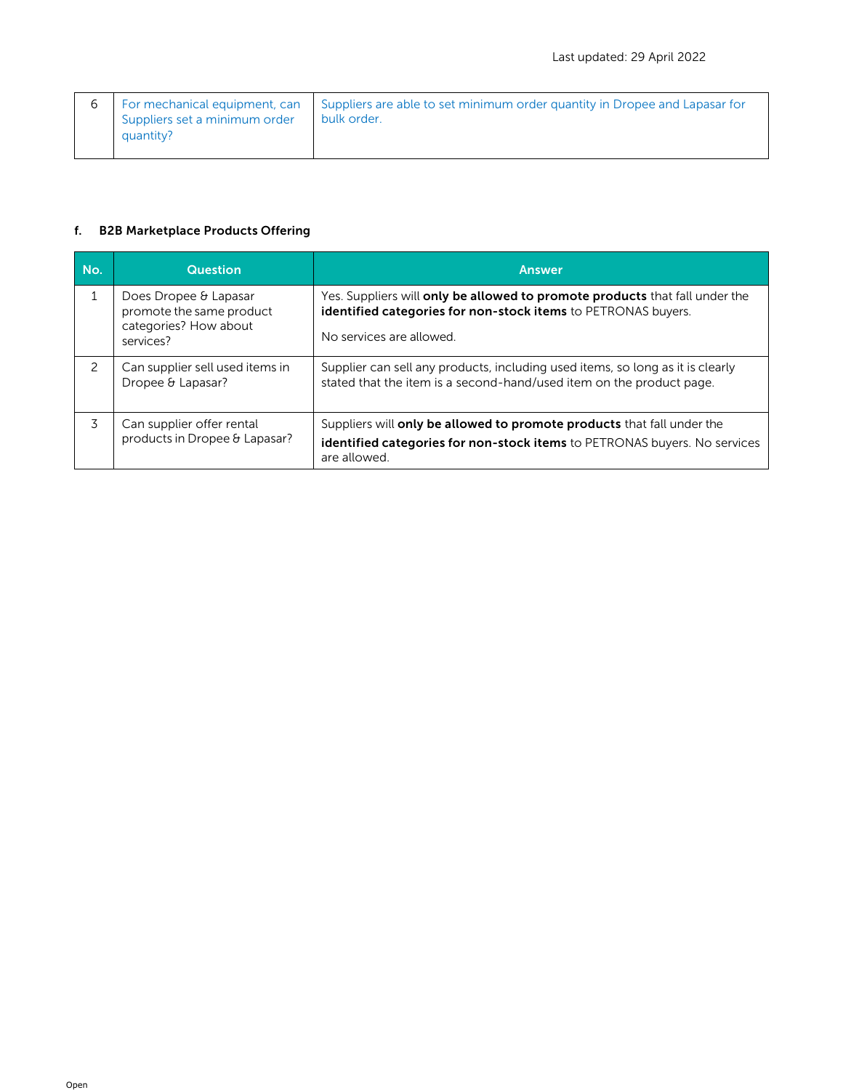|                                            | For mechanical equipment, can   Suppliers are able to set minimum order quantity in Dropee and Lapasar for |
|--------------------------------------------|------------------------------------------------------------------------------------------------------------|
| Suppliers set a minimum order<br>quantity? | bulk order.                                                                                                |

### f. B2B Marketplace Products Offering

| No.           | <b>Question</b>                                                                         | <b>Answer</b>                                                                                                                                                                   |
|---------------|-----------------------------------------------------------------------------------------|---------------------------------------------------------------------------------------------------------------------------------------------------------------------------------|
|               | Does Dropee & Lapasar<br>promote the same product<br>categories? How about<br>services? | Yes. Suppliers will only be allowed to promote products that fall under the<br><b>identified categories for non-stock items</b> to PETRONAS buyers.<br>No services are allowed. |
| $\mathcal{P}$ | Can supplier sell used items in<br>Dropee & Lapasar?                                    | Supplier can sell any products, including used items, so long as it is clearly<br>stated that the item is a second-hand/used item on the product page.                          |
| 3             | Can supplier offer rental<br>products in Dropee & Lapasar?                              | Suppliers will only be allowed to promote products that fall under the<br><b>identified categories for non-stock items</b> to PETRONAS buyers. No services<br>are allowed.      |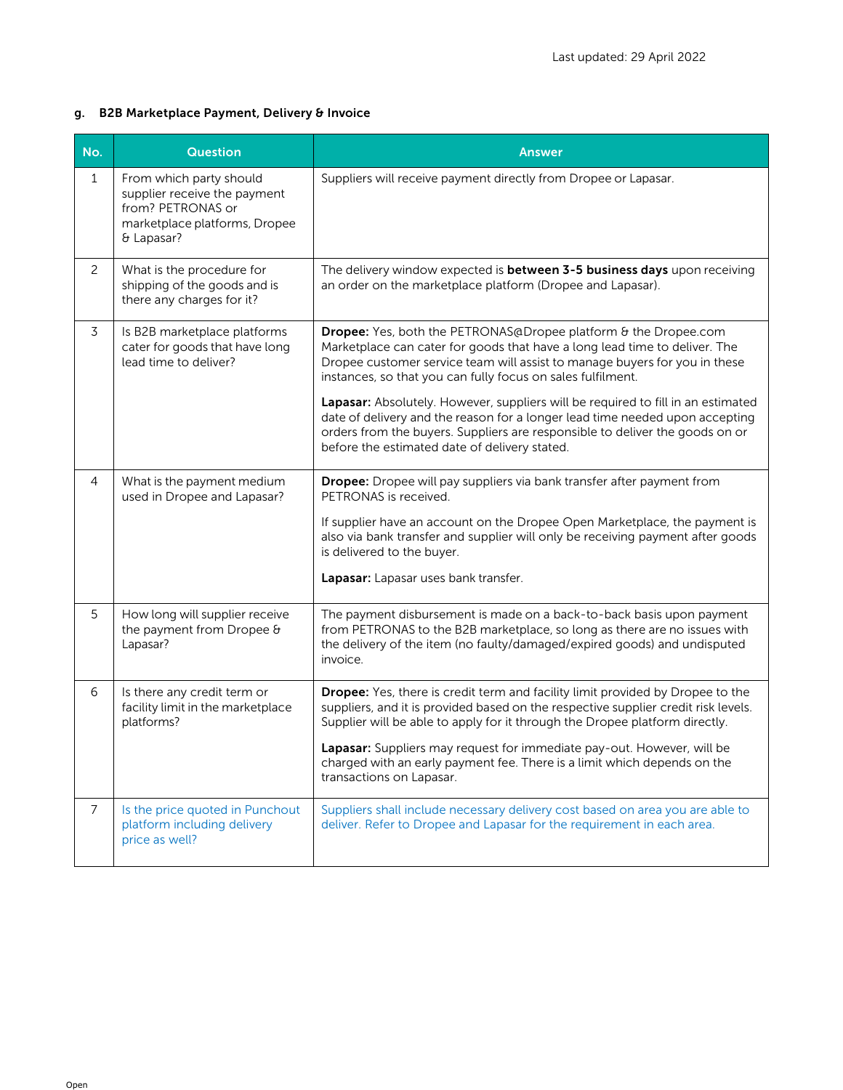## g. B2B Marketplace Payment, Delivery & Invoice

| No.            | <b>Question</b>                                                                                                             | <b>Answer</b>                                                                                                                                                                                                                                                                                                                                                                                                                                                                                                                                                                                   |
|----------------|-----------------------------------------------------------------------------------------------------------------------------|-------------------------------------------------------------------------------------------------------------------------------------------------------------------------------------------------------------------------------------------------------------------------------------------------------------------------------------------------------------------------------------------------------------------------------------------------------------------------------------------------------------------------------------------------------------------------------------------------|
| $1\,$          | From which party should<br>supplier receive the payment<br>from? PETRONAS or<br>marketplace platforms, Dropee<br>& Lapasar? | Suppliers will receive payment directly from Dropee or Lapasar.                                                                                                                                                                                                                                                                                                                                                                                                                                                                                                                                 |
| $\overline{2}$ | What is the procedure for<br>shipping of the goods and is<br>there any charges for it?                                      | The delivery window expected is between 3-5 business days upon receiving<br>an order on the marketplace platform (Dropee and Lapasar).                                                                                                                                                                                                                                                                                                                                                                                                                                                          |
| 3              | Is B2B marketplace platforms<br>cater for goods that have long<br>lead time to deliver?                                     | Dropee: Yes, both the PETRONAS@Dropee platform & the Dropee.com<br>Marketplace can cater for goods that have a long lead time to deliver. The<br>Dropee customer service team will assist to manage buyers for you in these<br>instances, so that you can fully focus on sales fulfilment.<br>Lapasar: Absolutely. However, suppliers will be required to fill in an estimated<br>date of delivery and the reason for a longer lead time needed upon accepting<br>orders from the buyers. Suppliers are responsible to deliver the goods on or<br>before the estimated date of delivery stated. |
| $\overline{4}$ | What is the payment medium<br>used in Dropee and Lapasar?                                                                   | Dropee: Dropee will pay suppliers via bank transfer after payment from<br>PETRONAS is received.<br>If supplier have an account on the Dropee Open Marketplace, the payment is<br>also via bank transfer and supplier will only be receiving payment after goods<br>is delivered to the buyer.<br>Lapasar: Lapasar uses bank transfer.                                                                                                                                                                                                                                                           |
| 5              | How long will supplier receive<br>the payment from Dropee &<br>Lapasar?                                                     | The payment disbursement is made on a back-to-back basis upon payment<br>from PETRONAS to the B2B marketplace, so long as there are no issues with<br>the delivery of the item (no faulty/damaged/expired goods) and undisputed<br>invoice.                                                                                                                                                                                                                                                                                                                                                     |
| 6              | Is there any credit term or<br>facility limit in the marketplace<br>platforms?                                              | Dropee: Yes, there is credit term and facility limit provided by Dropee to the<br>suppliers, and it is provided based on the respective supplier credit risk levels.<br>Supplier will be able to apply for it through the Dropee platform directly.<br>Lapasar: Suppliers may request for immediate pay-out. However, will be<br>charged with an early payment fee. There is a limit which depends on the<br>transactions on Lapasar.                                                                                                                                                           |
| $\overline{7}$ | Is the price quoted in Punchout<br>platform including delivery<br>price as well?                                            | Suppliers shall include necessary delivery cost based on area you are able to<br>deliver. Refer to Dropee and Lapasar for the requirement in each area.                                                                                                                                                                                                                                                                                                                                                                                                                                         |